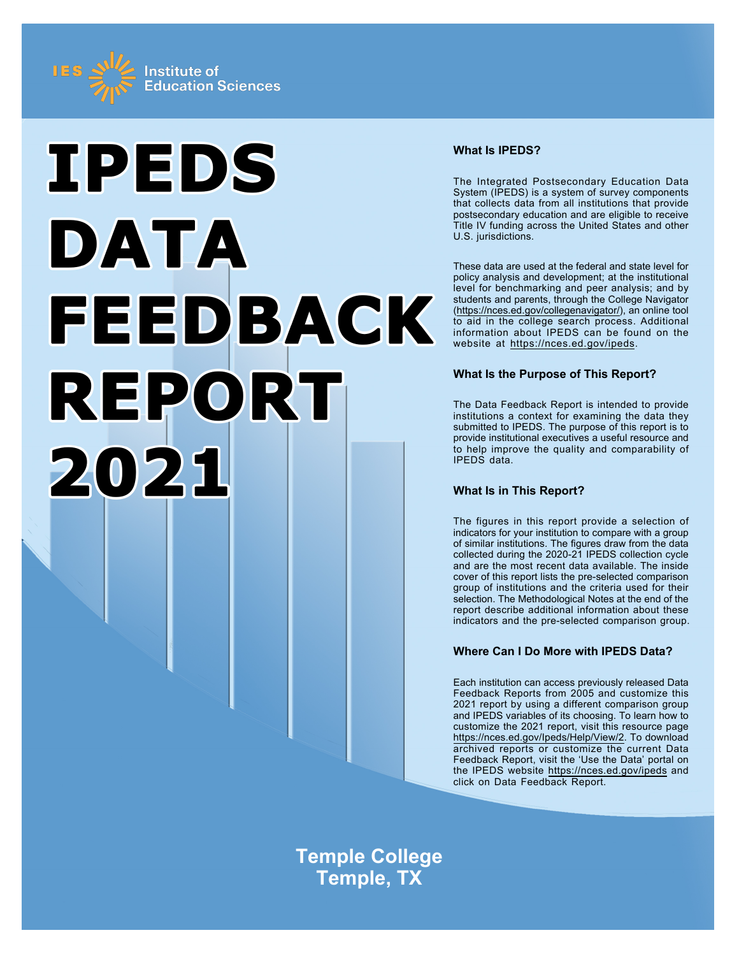



## **What Is IPEDS?**

The Integrated Postsecondary Education Data System (IPEDS) is a system of survey components that collects data from all institutions that provide postsecondary education and are eligible to receive Title IV funding across the United States and other U.S. jurisdictions.

These data are used at the federal and state level for policy analysis and development; at the institutional level for benchmarking and peer analysis; and by students and parents, through the College Navigator ([https://nces.ed.gov/collegenavigator/\)](https://nces.ed.gov/collegenavigator/), an online tool to aid in the college search process. Additional information about IPEDS can be found on the website at<https://nces.ed.gov/ipeds>.

## **What Is the Purpose of This Report?**

The Data Feedback Report is intended to provide institutions a context for examining the data they submitted to IPEDS. The purpose of this report is to provide institutional executives a useful resource and to help improve the quality and comparability of IPEDS data.

# **What Is in This Report?**

The figures in this report provide a selection of indicators for your institution to compare with a group of similar institutions. The figures draw from the data collected during the 2020-21 IPEDS collection cycle and are the most recent data available. The inside cover of this report lists the pre-selected comparison group of institutions and the criteria used for their selection. The Methodological Notes at the end of the report describe additional information about these indicators and the pre-selected comparison group.

# **Where Can I Do More with IPEDS Data?**

Each institution can access previously released Data Feedback Reports from 2005 and customize this 2021 report by using a different comparison group and IPEDS variables of its choosing. To learn how to customize the 2021 report, visit this resource page <https://nces.ed.gov/Ipeds/Help/View/2>. To download archived reports or customize the current Data Feedback Report, visit the 'Use the Data' portal on the IPEDS website<https://nces.ed.gov/ipeds> and click on Data Feedback Report.

**Temple College Temple, TX**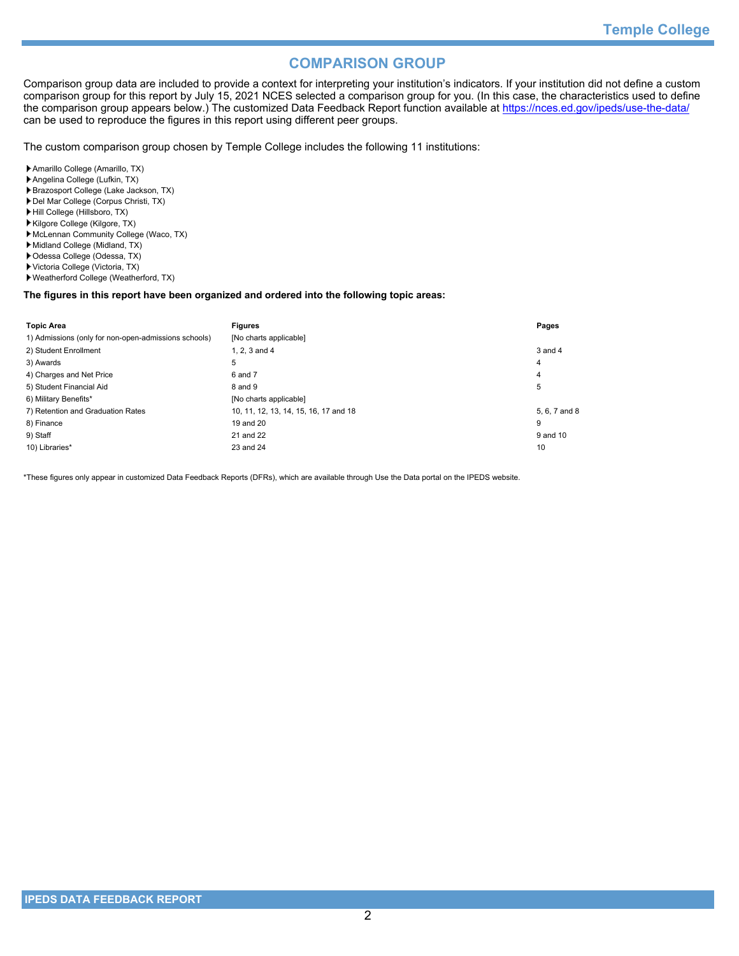# **COMPARISON GROUP**

Comparison group data are included to provide a context for interpreting your institution's indicators. If your institution did not define a custom comparison group for this report by July 15, 2021 NCES selected a comparison group for you. (In this case, the characteristics used to define the comparison group appears below.) The customized Data Feedback Report function available at<https://nces.ed.gov/ipeds/use-the-data/> can be used to reproduce the figures in this report using different peer groups.

The custom comparison group chosen by Temple College includes the following 11 institutions:

- Amarillo College (Amarillo, TX)
- Angelina College (Lufkin, TX)
- Brazosport College (Lake Jackson, TX)
- Del Mar College (Corpus Christi, TX)
- Hill College (Hillsboro, TX)
- Kilgore College (Kilgore, TX) McLennan Community College (Waco, TX)
- 
- Midland College (Midland, TX)
- Odessa College (Odessa, TX)
- Victoria College (Victoria, TX)
- Weatherford College (Weatherford, TX)

#### **The figures in this report have been organized and ordered into the following topic areas:**

| <b>Topic Area</b>                                    | <b>Figures</b>                        | Pages         |
|------------------------------------------------------|---------------------------------------|---------------|
| 1) Admissions (only for non-open-admissions schools) | [No charts applicable]                |               |
| 2) Student Enrollment                                | 1. $2.3$ and $4$                      | $3$ and $4$   |
| 3) Awards                                            | 5                                     | 4             |
| 4) Charges and Net Price                             | 6 and 7                               | 4             |
| 5) Student Financial Aid                             | 8 and 9                               | 5             |
| 6) Military Benefits*                                | [No charts applicable]                |               |
| 7) Retention and Graduation Rates                    | 10, 11, 12, 13, 14, 15, 16, 17 and 18 | 5, 6, 7 and 8 |
| 8) Finance                                           | 19 and 20                             | 9             |
| 9) Staff                                             | 21 and 22                             | 9 and 10      |
| 10) Libraries*                                       | 23 and 24                             | 10            |

\*These figures only appear in customized Data Feedback Reports (DFRs), which are available through Use the Data portal on the IPEDS website.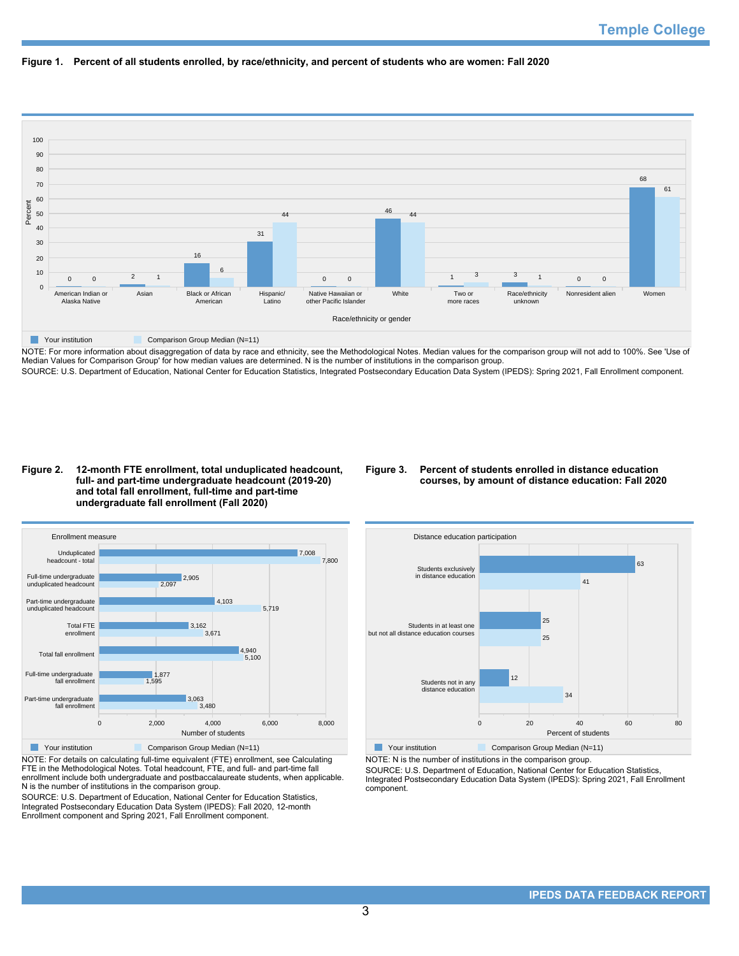



NOTE: For more information about disaggregation of data by race and ethnicity, see the Methodological Notes. Median values for the comparison group will not add to 100%. See 'Use of Median Values for Comparison Group' for how median values are determined. N is the number of institutions in the comparison group. SOURCE: U.S. Department of Education, National Center for Education Statistics, Integrated Postsecondary Education Data System (IPEDS): Spring 2021, Fall Enrollment component.

#### **Figure 2. 12-month FTE enrollment, total unduplicated headcount, full- and part-time undergraduate headcount (2019-20) and total fall enrollment, full-time and part-time undergraduate fall enrollment (Fall 2020)**

## **Figure 3. Percent of students enrolled in distance education courses, by amount of distance education: Fall 2020**



NOTE: For details on calculating full-time equivalent (FTE) enrollment, see Calculating FTE in the Methodological Notes. Total headcount, FTE, and full- and part-time fall enrollment include both undergraduate and postbaccalaureate students, when applicable. N is the number of institutions in the comparison group.

SOURCE: U.S. Department of Education, National Center for Education Statistics, Integrated Postsecondary Education Data System (IPEDS): Fall 2020, 12-month Enrollment component and Spring 2021, Fall Enrollment component.



NOTE: N is the number of institutions in the comparison group.

SOURCE: U.S. Department of Education, National Center for Education Statistics, Integrated Postsecondary Education Data System (IPEDS): Spring 2021, Fall Enrollment component.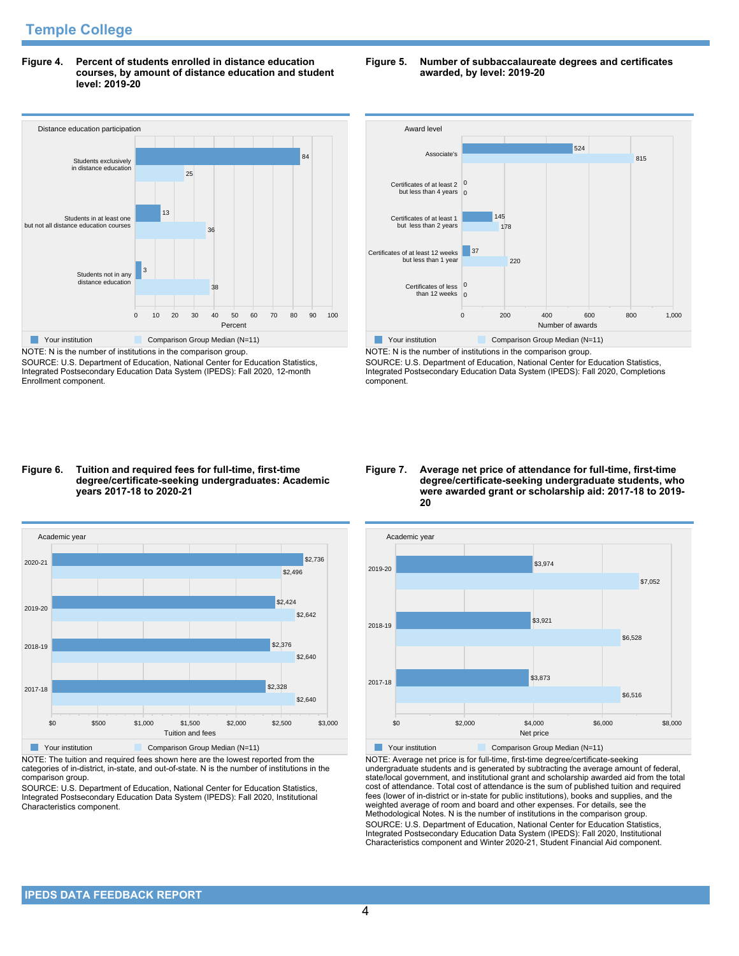**Figure 4. Percent of students enrolled in distance education courses, by amount of distance education and student level: 2019-20**

# Distance education participation 0 10 20 30 40 50 60 70 80 90 100 Percent Students not in any distance education Students in at least one but not all distance education courses Students exclusively in distance education 38 3 36 13 25 84 **The Comparison Group Median (N=11)** Comparison Group Median (N=11)

NOTE: N is the number of institutions in the comparison group. SOURCE: U.S. Department of Education, National Center for Education Statistics, Integrated Postsecondary Education Data System (IPEDS): Fall 2020, 12-month Enrollment component.

## **Figure 5. Number of subbaccalaureate degrees and certificates awarded, by level: 2019-20**



NOTE: N is the number of institutions in the comparison group. SOURCE: U.S. Department of Education, National Center for Education Statistics, Integrated Postsecondary Education Data System (IPEDS): Fall 2020, Completions component.

## **Figure 6. Tuition and required fees for full-time, first-time degree/certificate-seeking undergraduates: Academic years 2017-18 to 2020-21**



NOTE: The tuition and required fees shown here are the lowest reported from the categories of in-district, in-state, and out-of-state. N is the number of institutions in the comparison group.

SOURCE: U.S. Department of Education, National Center for Education Statistics, Integrated Postsecondary Education Data System (IPEDS): Fall 2020, Institutional Characteristics component.

## **Figure 7. Average net price of attendance for full-time, first-time degree/certificate-seeking undergraduate students, who were awarded grant or scholarship aid: 2017-18 to 2019- 20**



NOTE: Average net price is for full-time, first-time degree/certificate-seeking undergraduate students and is generated by subtracting the average amount of federal, state/local government, and institutional grant and scholarship awarded aid from the total cost of attendance. Total cost of attendance is the sum of published tuition and required fees (lower of in-district or in-state for public institutions), books and supplies, and the weighted average of room and board and other expenses. For details, see the Methodological Notes. N is the number of institutions in the comparison group. SOURCE: U.S. Department of Education, National Center for Education Statistics, Integrated Postsecondary Education Data System (IPEDS): Fall 2020, Institutional Characteristics component and Winter 2020-21, Student Financial Aid component.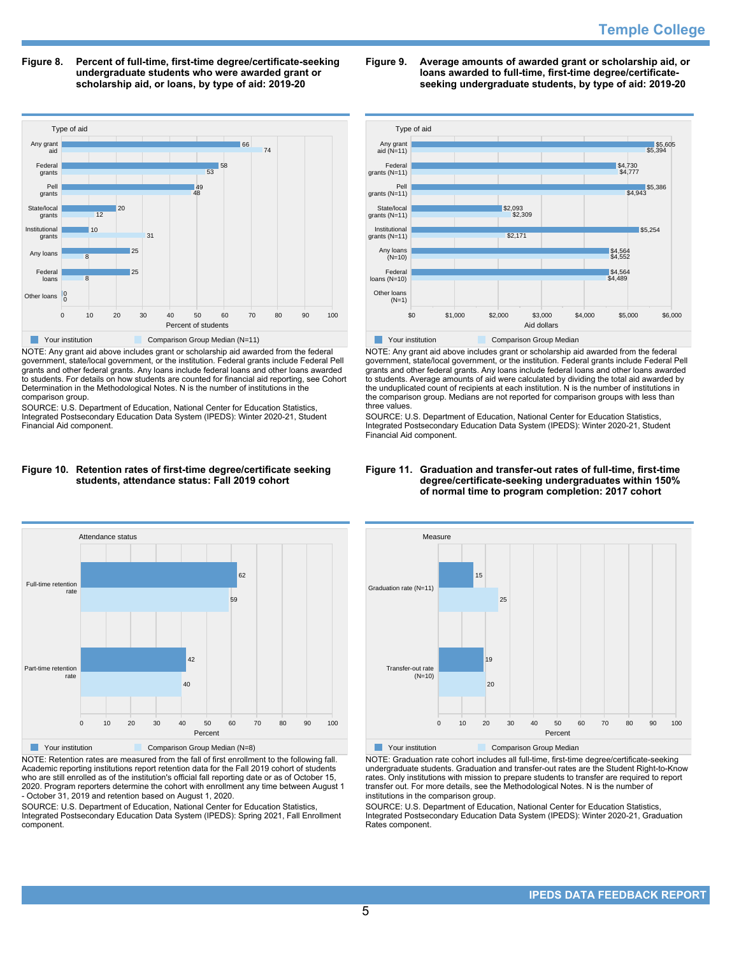**Figure 8. Percent of full-time, first-time degree/certificate-seeking undergraduate students who were awarded grant or scholarship aid, or loans, by type of aid: 2019-20**



NOTE: Any grant aid above includes grant or scholarship aid awarded from the federal government, state/local government, or the institution. Federal grants include Federal Pell grants and other federal grants. Any loans include federal loans and other loans awarded to students. For details on how students are counted for financial aid reporting, see Cohort Determination in the Methodological Notes. N is the number of institutions in the comparison group.

SOURCE: U.S. Department of Education, National Center for Education Statistics, Integrated Postsecondary Education Data System (IPEDS): Winter 2020-21, Student Financial Aid component.

## **Figure 9. Average amounts of awarded grant or scholarship aid, or loans awarded to full-time, first-time degree/certificateseeking undergraduate students, by type of aid: 2019-20**



NOTE: Any grant aid above includes grant or scholarship aid awarded from the federal government, state/local government, or the institution. Federal grants include Federal Pell grants and other federal grants. Any loans include federal loans and other loans awarded to students. Average amounts of aid were calculated by dividing the total aid awarded by the unduplicated count of recipients at each institution. N is the number of institutions in the comparison group. Medians are not reported for comparison groups with less than three values.

SOURCE: U.S. Department of Education, National Center for Education Statistics, Integrated Postsecondary Education Data System (IPEDS): Winter 2020-21, Student Financial Aid component.

## **Figure 10. Retention rates of first-time degree/certificate seeking students, attendance status: Fall 2019 cohort**



NOTE: Retention rates are measured from the fall of first enrollment to the following fall. Academic reporting institutions report retention data for the Fall 2019 cohort of students who are still enrolled as of the institution's official fall reporting date or as of October 15, 2020. Program reporters determine the cohort with enrollment any time between August 1 - October 31, 2019 and retention based on August 1, 2020.

SOURCE: U.S. Department of Education, National Center for Education Statistics, Integrated Postsecondary Education Data System (IPEDS): Spring 2021, Fall Enrollment component.

#### **Figure 11. Graduation and transfer-out rates of full-time, first-time degree/certificate-seeking undergraduates within 150% of normal time to program completion: 2017 cohort**



NOTE: Graduation rate cohort includes all full-time, first-time degree/certificate-seeking undergraduate students. Graduation and transfer-out rates are the Student Right-to-Know rates. Only institutions with mission to prepare students to transfer are required to report transfer out. For more details, see the Methodological Notes. N is the number of institutions in the comparison group.

SOURCE: U.S. Department of Education, National Center for Education Statistics, Integrated Postsecondary Education Data System (IPEDS): Winter 2020-21, Graduation Rates component.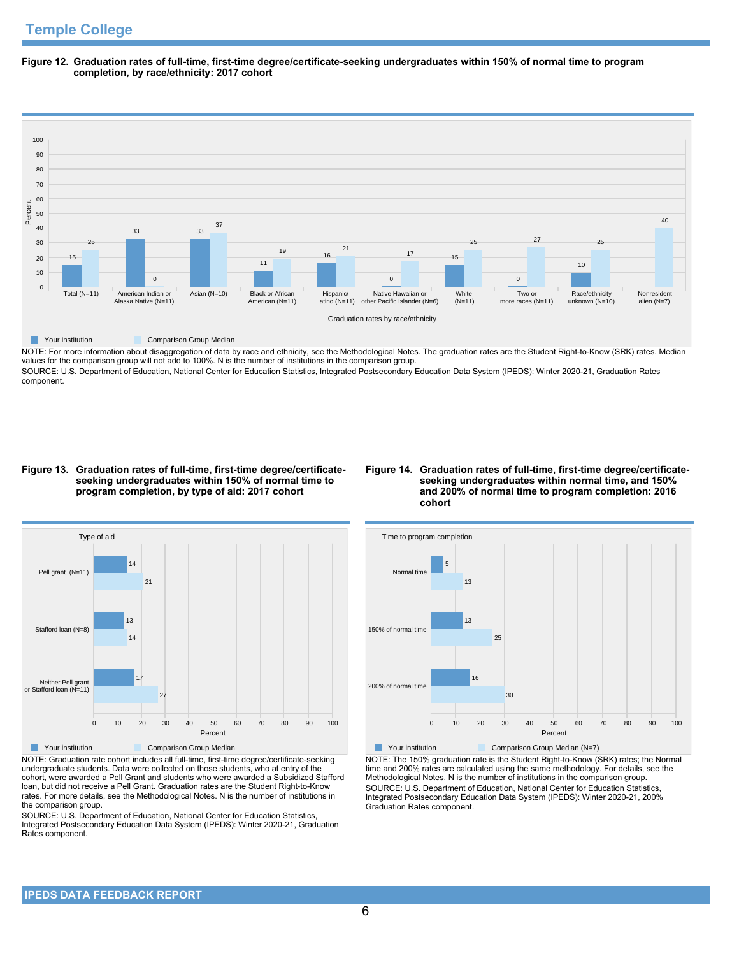**Figure 12. Graduation rates of full-time, first-time degree/certificate-seeking undergraduates within 150% of normal time to program completion, by race/ethnicity: 2017 cohort**



NOTE: For more information about disaggregation of data by race and ethnicity, see the Methodological Notes. The graduation rates are the Student Right-to-Know (SRK) rates. Median values for the comparison group will not add to 100%. N is the number of institutions in the comparison group.

SOURCE: U.S. Department of Education, National Center for Education Statistics, Integrated Postsecondary Education Data System (IPEDS): Winter 2020-21, Graduation Rates component.

#### **Figure 13. Graduation rates of full-time, first-time degree/certificateseeking undergraduates within 150% of normal time to program completion, by type of aid: 2017 cohort**

## **Figure 14. Graduation rates of full-time, first-time degree/certificateseeking undergraduates within normal time, and 150% and 200% of normal time to program completion: 2016 cohort**



NOTE: Graduation rate cohort includes all full-time, first-time degree/certificate-seeking undergraduate students. Data were collected on those students, who at entry of the cohort, were awarded a Pell Grant and students who were awarded a Subsidized Stafford loan, but did not receive a Pell Grant. Graduation rates are the Student Right-to-Know rates. For more details, see the Methodological Notes. N is the number of institutions in the comparison group.

SOURCE: U.S. Department of Education, National Center for Education Statistics, Integrated Postsecondary Education Data System (IPEDS): Winter 2020-21, Graduation Rates component.



NOTE: The 150% graduation rate is the Student Right-to-Know (SRK) rates; the Normal time and 200% rates are calculated using the same methodology. For details, see the Methodological Notes. N is the number of institutions in the comparison group. SOURCE: U.S. Department of Education, National Center for Education Statistics, Integrated Postsecondary Education Data System (IPEDS): Winter 2020-21, 200% Graduation Rates component.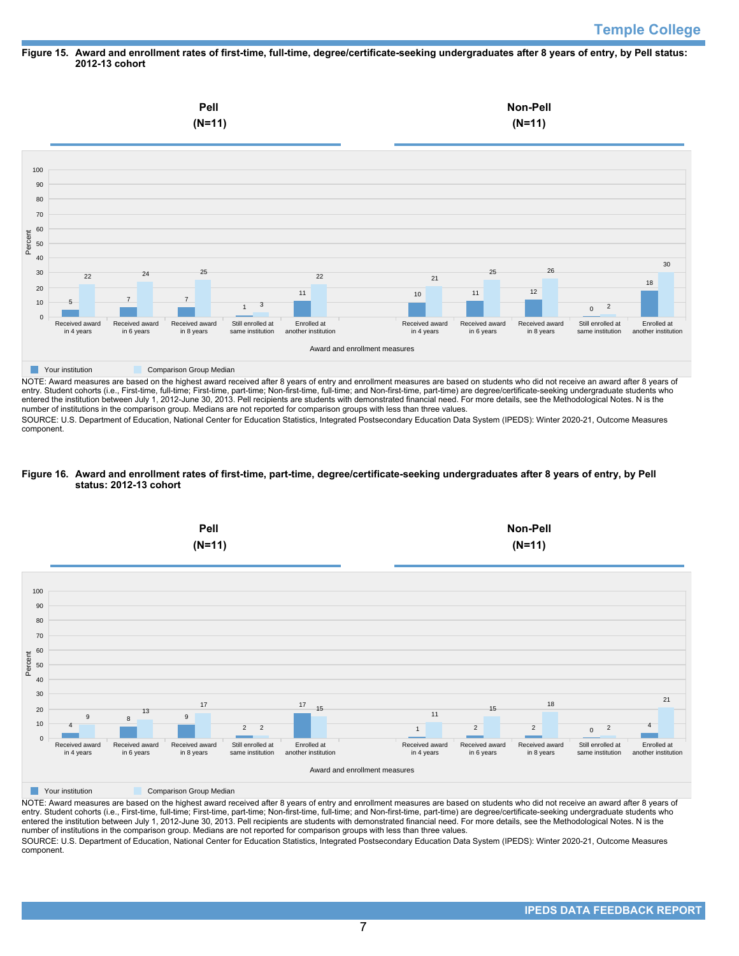## **Figure 15. Award and enrollment rates of first-time, full-time, degree/certificate-seeking undergraduates after 8 years of entry, by Pell status: 2012-13 cohort**



NOTE: Award measures are based on the highest award received after 8 years of entry and enrollment measures are based on students who did not receive an award after 8 years of entry. Student cohorts (i.e., First-time, full-time; First-time, part-time; Non-first-time, full-time; and Non-first-time, part-time) are degree/certificate-seeking undergraduate students who entered the institution between July 1, 2012-June 30, 2013. Pell recipients are students with demonstrated financial need. For more details, see the Methodological Notes. N is the number of institutions in the comparison group. Medians are not reported for comparison groups with less than three values.

SOURCE: U.S. Department of Education, National Center for Education Statistics, Integrated Postsecondary Education Data System (IPEDS): Winter 2020-21, Outcome Measures component.

## **Figure 16. Award and enrollment rates of first-time, part-time, degree/certificate-seeking undergraduates after 8 years of entry, by Pell status: 2012-13 cohort**



NOTE: Award measures are based on the highest award received after 8 years of entry and enrollment measures are based on students who did not receive an award after 8 years of entry. Student cohorts (i.e., First-time, full-time; First-time, part-time; Non-first-time, full-time; and Non-first-time, part-time) are degree/certificate-seeking undergraduate students who entered the institution between July 1, 2012-June 30, 2013. Pell recipients are students with demonstrated financial need. For more details, see the Methodological Notes. N is the number of institutions in the comparison group. Medians are not reported for comparison groups with less than three values. SOURCE: U.S. Department of Education, National Center for Education Statistics, Integrated Postsecondary Education Data System (IPEDS): Winter 2020-21, Outcome Measures component.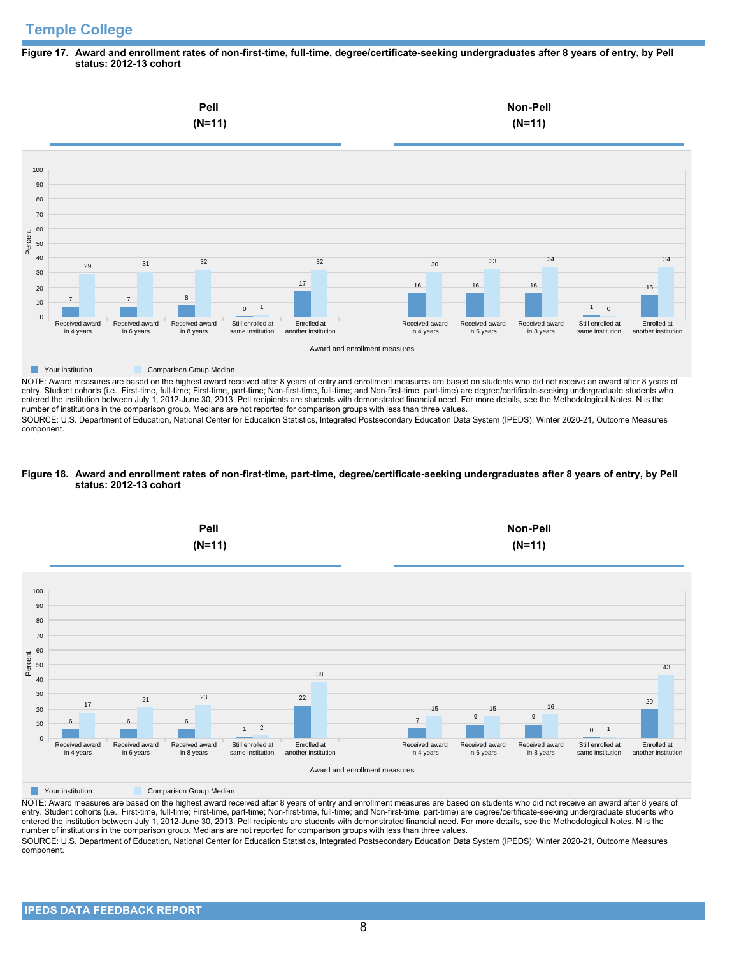# **Temple College**

#### **Figure 17. Award and enrollment rates of non-first-time, full-time, degree/certificate-seeking undergraduates after 8 years of entry, by Pell status: 2012-13 cohort**



NOTE: Award measures are based on the highest award received after 8 years of entry and enrollment measures are based on students who did not receive an award after 8 years of entry. Student cohorts (i.e., First-time, full-time; First-time, part-time; Non-first-time, full-time; and Non-first-time, part-time) are degree/certificate-seeking undergraduate students who entered the institution between July 1, 2012-June 30, 2013. Pell recipients are students with demonstrated financial need. For more details, see the Methodological Notes. N is the number of institutions in the comparison group. Medians are not reported for comparison groups with less than three values.

SOURCE: U.S. Department of Education, National Center for Education Statistics, Integrated Postsecondary Education Data System (IPEDS): Winter 2020-21, Outcome Measures component.

#### **Figure 18. Award and enrollment rates of non-first-time, part-time, degree/certificate-seeking undergraduates after 8 years of entry, by Pell status: 2012-13 cohort**



NOTE: Award measures are based on the highest award received after 8 years of entry and enrollment measures are based on students who did not receive an award after 8 years of entry. Student cohorts (i.e., First-time, full-time; First-time, part-time; Non-first-time, full-time; and Non-first-time, part-time) are degree/certificate-seeking undergraduate students who entered the institution between July 1, 2012-June 30, 2013. Pell recipients are students with demonstrated financial need. For more details, see the Methodological Notes. N is the number of institutions in the comparison group. Medians are not reported for comparison groups with less than three values. SOURCE: U.S. Department of Education, National Center for Education Statistics, Integrated Postsecondary Education Data System (IPEDS): Winter 2020-21, Outcome Measures component.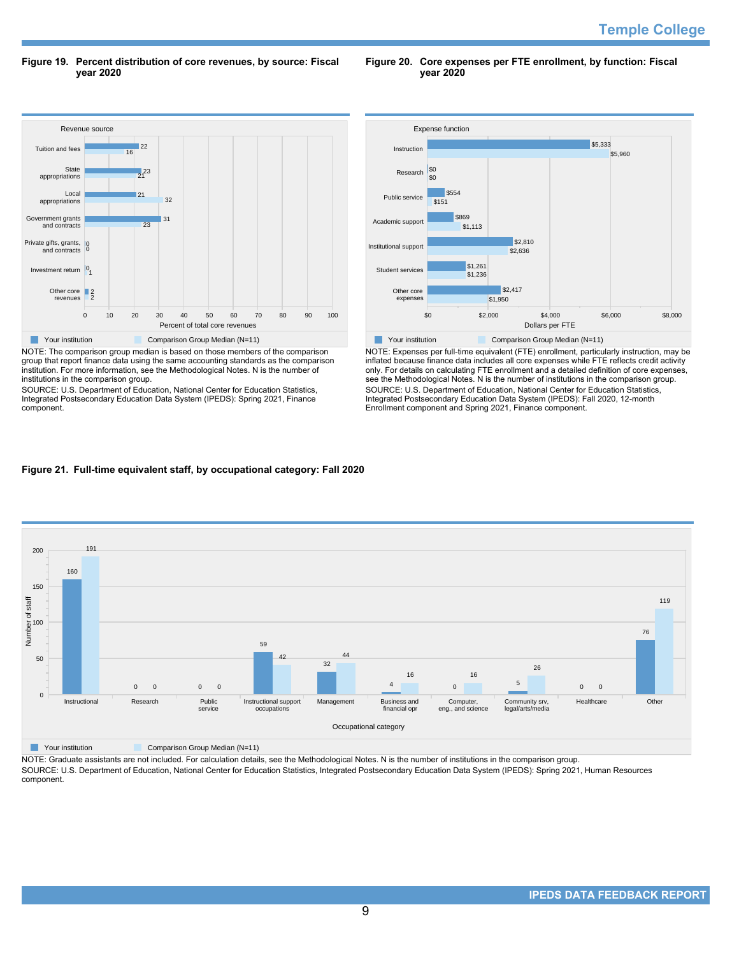**Figure 19. Percent distribution of core revenues, by source: Fiscal year 2020**

**Figure 20. Core expenses per FTE enrollment, by function: Fiscal year 2020**



NOTE: The comparison group median is based on those members of the comparison group that report finance data using the same accounting standards as the comparison institution. For more information, see the Methodological Notes. N is the number of institutions in the comparison group.

SOURCE: U.S. Department of Education, National Center for Education Statistics, Integrated Postsecondary Education Data System (IPEDS): Spring 2021, Finance component.



NOTE: Expenses per full-time equivalent (FTE) enrollment, particularly instruction, may be inflated because finance data includes all core expenses while FTE reflects credit activity only. For details on calculating FTE enrollment and a detailed definition of core expenses, see the Methodological Notes. N is the number of institutions in the comparison group. SOURCE: U.S. Department of Education, National Center for Education Statistics, Integrated Postsecondary Education Data System (IPEDS): Fall 2020, 12-month Enrollment component and Spring 2021, Finance component.

## **Figure 21. Full-time equivalent staff, by occupational category: Fall 2020**



**Nour institution Comparison Group Median (N=11)** 

NOTE: Graduate assistants are not included. For calculation details, see the Methodological Notes. N is the number of institutions in the comparison group. SOURCE: U.S. Department of Education, National Center for Education Statistics, Integrated Postsecondary Education Data System (IPEDS): Spring 2021, Human Resources component.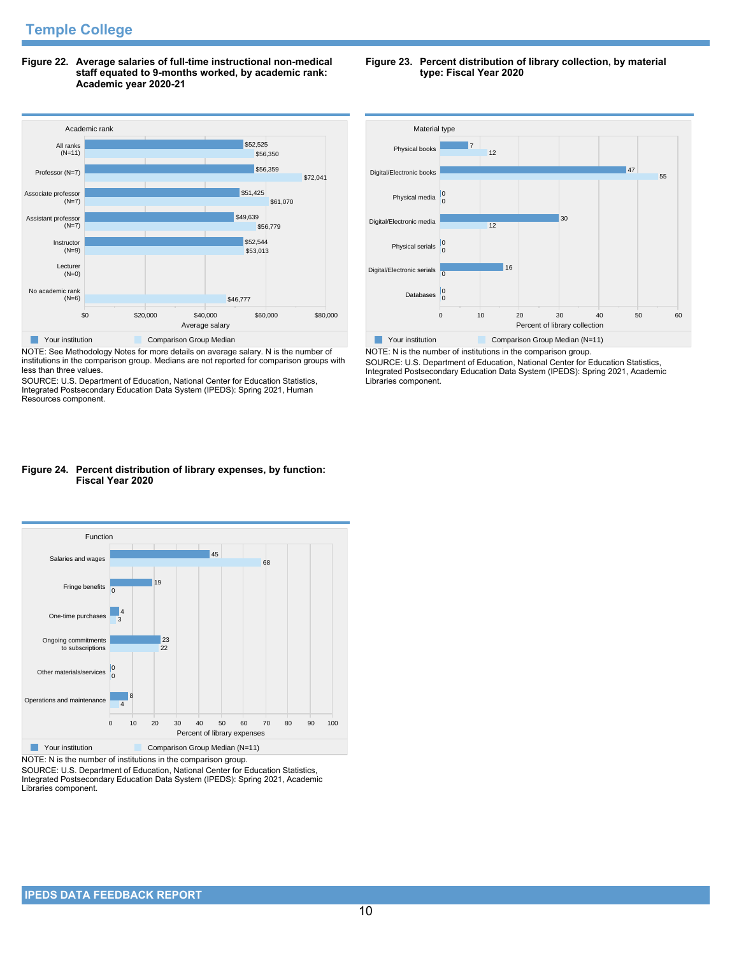**Figure 22. Average salaries of full-time instructional non-medical staff equated to 9-months worked, by academic rank: Academic year 2020-21**



NOTE: See Methodology Notes for more details on average salary. N is the number of institutions in the comparison group. Medians are not reported for comparison groups with less than three values.

SOURCE: U.S. Department of Education, National Center for Education Statistics, Integrated Postsecondary Education Data System (IPEDS): Spring 2021, Human Resources component.

## **Figure 24. Percent distribution of library expenses, by function: Fiscal Year 2020**



NOTE: N is the number of institutions in the comparison group.

SOURCE: U.S. Department of Education, National Center for Education Statistics, Integrated Postsecondary Education Data System (IPEDS): Spring 2021, Academic Libraries component.

## **Figure 23. Percent distribution of library collection, by material type: Fiscal Year 2020**



NOTE: N is the number of institutions in the comparison group. SOURCE: U.S. Department of Education, National Center for Education Statistics, Integrated Postsecondary Education Data System (IPEDS): Spring 2021, Academic Libraries component.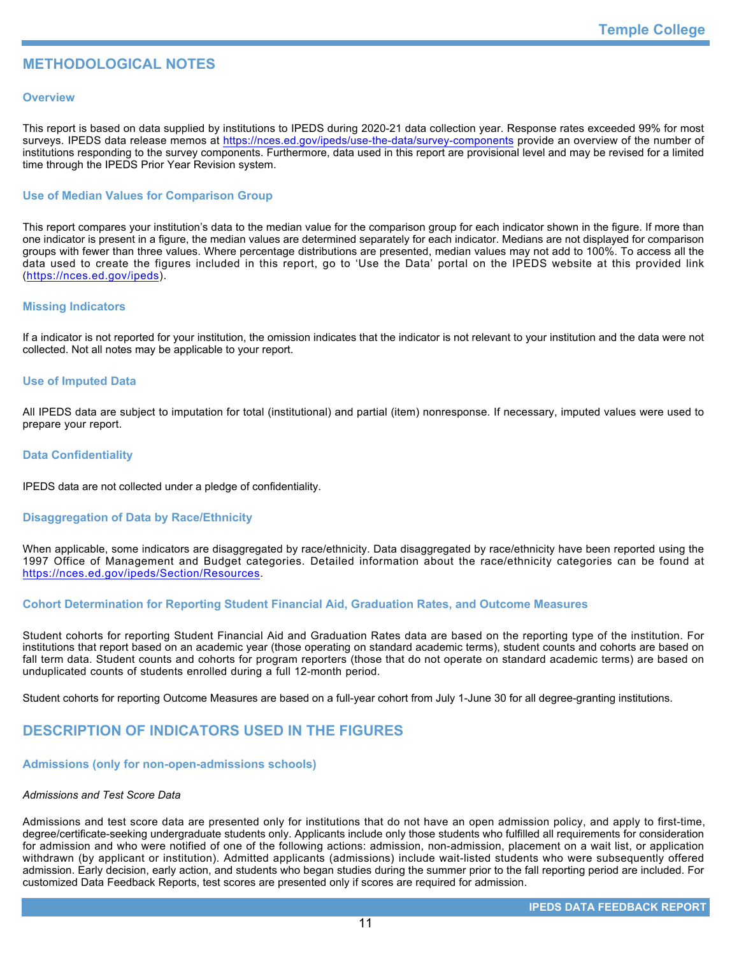# **METHODOLOGICAL NOTES**

## **Overview**

This report is based on data supplied by institutions to IPEDS during 2020-21 data collection year. Response rates exceeded 99% for most surveys. IPEDS data release memos at <https://nces.ed.gov/ipeds/use-the-data/survey-components> provide an overview of the number of institutions responding to the survey components. Furthermore, data used in this report are provisional level and may be revised for a limited time through the IPEDS Prior Year Revision system.

## **Use of Median Values for Comparison Group**

This report compares your institution's data to the median value for the comparison group for each indicator shown in the figure. If more than one indicator is present in a figure, the median values are determined separately for each indicator. Medians are not displayed for comparison groups with fewer than three values. Where percentage distributions are presented, median values may not add to 100%. To access all the data used to create the figures included in this report, go to 'Use the Data' portal on the IPEDS website at this provided link (<https://nces.ed.gov/ipeds>).

## **Missing Indicators**

If a indicator is not reported for your institution, the omission indicates that the indicator is not relevant to your institution and the data were not collected. Not all notes may be applicable to your report.

## **Use of Imputed Data**

All IPEDS data are subject to imputation for total (institutional) and partial (item) nonresponse. If necessary, imputed values were used to prepare your report.

## **Data Confidentiality**

IPEDS data are not collected under a pledge of confidentiality.

## **Disaggregation of Data by Race/Ethnicity**

When applicable, some indicators are disaggregated by race/ethnicity. Data disaggregated by race/ethnicity have been reported using the 1997 Office of Management and Budget categories. Detailed information about the race/ethnicity categories can be found at <https://nces.ed.gov/ipeds/Section/Resources>.

## **Cohort Determination for Reporting Student Financial Aid, Graduation Rates, and Outcome Measures**

Student cohorts for reporting Student Financial Aid and Graduation Rates data are based on the reporting type of the institution. For institutions that report based on an academic year (those operating on standard academic terms), student counts and cohorts are based on fall term data. Student counts and cohorts for program reporters (those that do not operate on standard academic terms) are based on unduplicated counts of students enrolled during a full 12-month period.

Student cohorts for reporting Outcome Measures are based on a full-year cohort from July 1-June 30 for all degree-granting institutions.

# **DESCRIPTION OF INDICATORS USED IN THE FIGURES**

## **Admissions (only for non-open-admissions schools)**

## *Admissions and Test Score Data*

Admissions and test score data are presented only for institutions that do not have an open admission policy, and apply to first-time, degree/certificate-seeking undergraduate students only. Applicants include only those students who fulfilled all requirements for consideration for admission and who were notified of one of the following actions: admission, non-admission, placement on a wait list, or application withdrawn (by applicant or institution). Admitted applicants (admissions) include wait-listed students who were subsequently offered admission. Early decision, early action, and students who began studies during the summer prior to the fall reporting period are included. For customized Data Feedback Reports, test scores are presented only if scores are required for admission.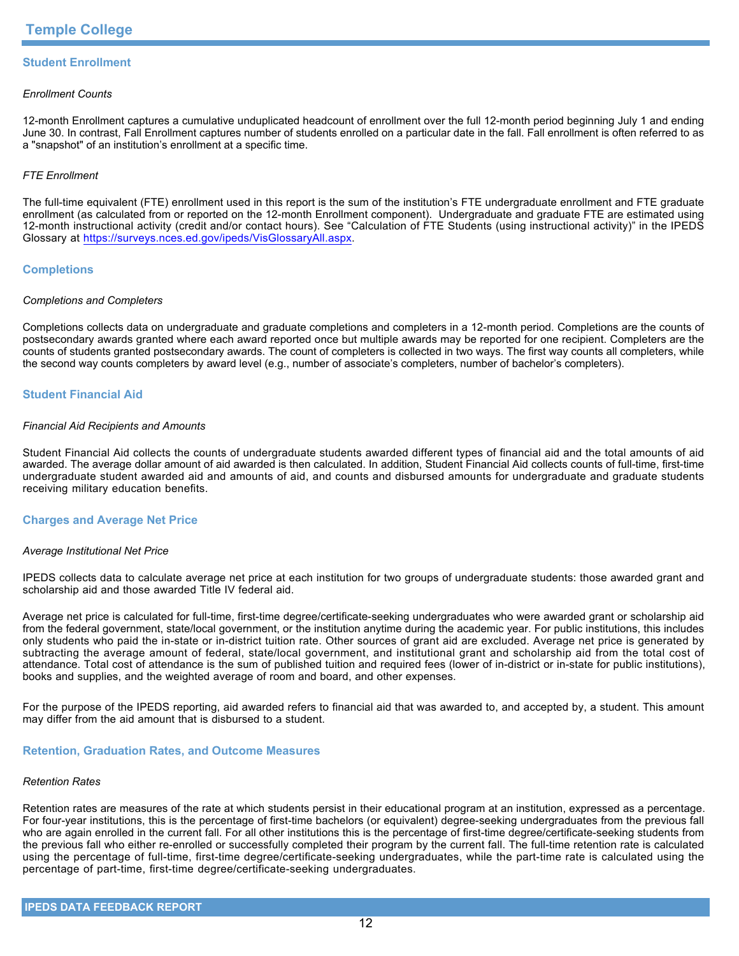## **Student Enrollment**

## *Enrollment Counts*

12-month Enrollment captures a cumulative unduplicated headcount of enrollment over the full 12-month period beginning July 1 and ending June 30. In contrast, Fall Enrollment captures number of students enrolled on a particular date in the fall. Fall enrollment is often referred to as a "snapshot" of an institution's enrollment at a specific time.

## *FTE Enrollment*

The full-time equivalent (FTE) enrollment used in this report is the sum of the institution's FTE undergraduate enrollment and FTE graduate enrollment (as calculated from or reported on the 12-month Enrollment component). Undergraduate and graduate FTE are estimated using 12-month instructional activity (credit and/or contact hours). See "Calculation of FTE Students (using instructional activity)" in the IPEDS Glossary at <https://surveys.nces.ed.gov/ipeds/VisGlossaryAll.aspx>.

## **Completions**

## *Completions and Completers*

Completions collects data on undergraduate and graduate completions and completers in a 12-month period. Completions are the counts of postsecondary awards granted where each award reported once but multiple awards may be reported for one recipient. Completers are the counts of students granted postsecondary awards. The count of completers is collected in two ways. The first way counts all completers, while the second way counts completers by award level (e.g., number of associate's completers, number of bachelor's completers).

## **Student Financial Aid**

#### *Financial Aid Recipients and Amounts*

Student Financial Aid collects the counts of undergraduate students awarded different types of financial aid and the total amounts of aid awarded. The average dollar amount of aid awarded is then calculated. In addition, Student Financial Aid collects counts of full-time, first-time undergraduate student awarded aid and amounts of aid, and counts and disbursed amounts for undergraduate and graduate students receiving military education benefits.

## **Charges and Average Net Price**

## *Average Institutional Net Price*

IPEDS collects data to calculate average net price at each institution for two groups of undergraduate students: those awarded grant and scholarship aid and those awarded Title IV federal aid.

Average net price is calculated for full-time, first-time degree/certificate-seeking undergraduates who were awarded grant or scholarship aid from the federal government, state/local government, or the institution anytime during the academic year. For public institutions, this includes only students who paid the in-state or in-district tuition rate. Other sources of grant aid are excluded. Average net price is generated by subtracting the average amount of federal, state/local government, and institutional grant and scholarship aid from the total cost of attendance. Total cost of attendance is the sum of published tuition and required fees (lower of in-district or in-state for public institutions), books and supplies, and the weighted average of room and board, and other expenses.

For the purpose of the IPEDS reporting, aid awarded refers to financial aid that was awarded to, and accepted by, a student. This amount may differ from the aid amount that is disbursed to a student.

## **Retention, Graduation Rates, and Outcome Measures**

## *Retention Rates*

Retention rates are measures of the rate at which students persist in their educational program at an institution, expressed as a percentage. For four-year institutions, this is the percentage of first-time bachelors (or equivalent) degree-seeking undergraduates from the previous fall who are again enrolled in the current fall. For all other institutions this is the percentage of first-time degree/certificate-seeking students from the previous fall who either re-enrolled or successfully completed their program by the current fall. The full-time retention rate is calculated using the percentage of full-time, first-time degree/certificate-seeking undergraduates, while the part-time rate is calculated using the percentage of part-time, first-time degree/certificate-seeking undergraduates.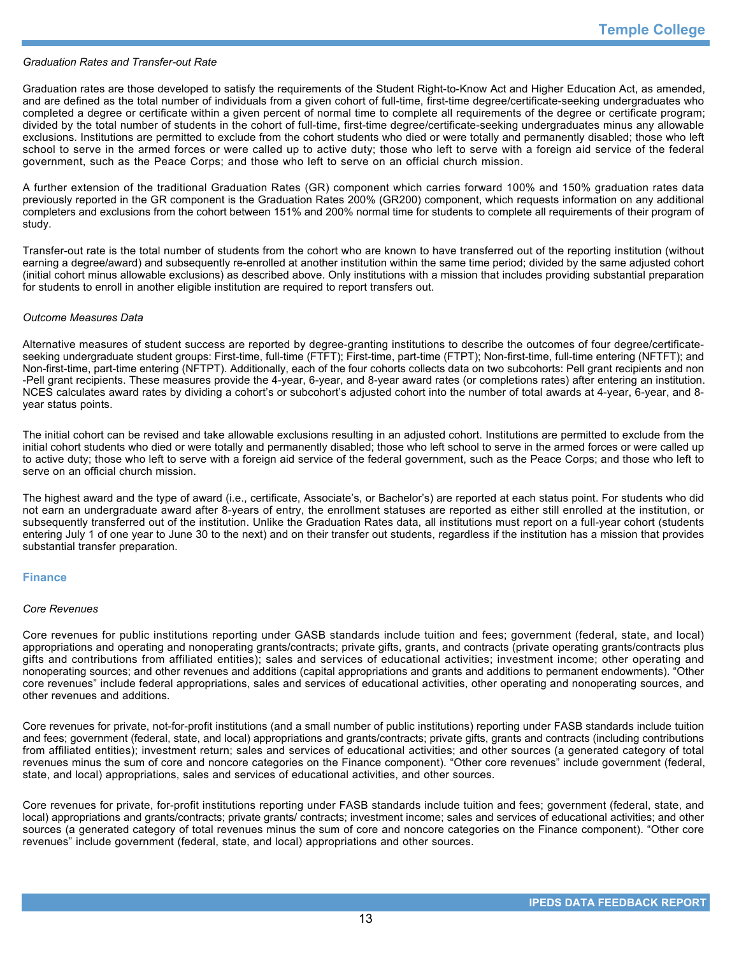#### *Graduation Rates and Transfer-out Rate*

Graduation rates are those developed to satisfy the requirements of the Student Right-to-Know Act and Higher Education Act, as amended, and are defined as the total number of individuals from a given cohort of full-time, first-time degree/certificate-seeking undergraduates who completed a degree or certificate within a given percent of normal time to complete all requirements of the degree or certificate program; divided by the total number of students in the cohort of full-time, first-time degree/certificate-seeking undergraduates minus any allowable exclusions. Institutions are permitted to exclude from the cohort students who died or were totally and permanently disabled; those who left school to serve in the armed forces or were called up to active duty; those who left to serve with a foreign aid service of the federal government, such as the Peace Corps; and those who left to serve on an official church mission.

A further extension of the traditional Graduation Rates (GR) component which carries forward 100% and 150% graduation rates data previously reported in the GR component is the Graduation Rates 200% (GR200) component, which requests information on any additional completers and exclusions from the cohort between 151% and 200% normal time for students to complete all requirements of their program of study.

Transfer-out rate is the total number of students from the cohort who are known to have transferred out of the reporting institution (without earning a degree/award) and subsequently re-enrolled at another institution within the same time period; divided by the same adjusted cohort (initial cohort minus allowable exclusions) as described above. Only institutions with a mission that includes providing substantial preparation for students to enroll in another eligible institution are required to report transfers out.

#### *Outcome Measures Data*

Alternative measures of student success are reported by degree-granting institutions to describe the outcomes of four degree/certificateseeking undergraduate student groups: First-time, full-time (FTFT); First-time, part-time (FTPT); Non-first-time, full-time entering (NFTFT); and Non-first-time, part-time entering (NFTPT). Additionally, each of the four cohorts collects data on two subcohorts: Pell grant recipients and non -Pell grant recipients. These measures provide the 4-year, 6-year, and 8-year award rates (or completions rates) after entering an institution. NCES calculates award rates by dividing a cohort's or subcohort's adjusted cohort into the number of total awards at 4-year, 6-year, and 8year status points.

The initial cohort can be revised and take allowable exclusions resulting in an adjusted cohort. Institutions are permitted to exclude from the initial cohort students who died or were totally and permanently disabled; those who left school to serve in the armed forces or were called up to active duty; those who left to serve with a foreign aid service of the federal government, such as the Peace Corps; and those who left to serve on an official church mission.

The highest award and the type of award (i.e., certificate, Associate's, or Bachelor's) are reported at each status point. For students who did not earn an undergraduate award after 8-years of entry, the enrollment statuses are reported as either still enrolled at the institution, or subsequently transferred out of the institution. Unlike the Graduation Rates data, all institutions must report on a full-year cohort (students entering July 1 of one year to June 30 to the next) and on their transfer out students, regardless if the institution has a mission that provides substantial transfer preparation.

## **Finance**

#### *Core Revenues*

Core revenues for public institutions reporting under GASB standards include tuition and fees; government (federal, state, and local) appropriations and operating and nonoperating grants/contracts; private gifts, grants, and contracts (private operating grants/contracts plus gifts and contributions from affiliated entities); sales and services of educational activities; investment income; other operating and nonoperating sources; and other revenues and additions (capital appropriations and grants and additions to permanent endowments). "Other core revenues" include federal appropriations, sales and services of educational activities, other operating and nonoperating sources, and other revenues and additions.

Core revenues for private, not-for-profit institutions (and a small number of public institutions) reporting under FASB standards include tuition and fees; government (federal, state, and local) appropriations and grants/contracts; private gifts, grants and contracts (including contributions from affiliated entities); investment return; sales and services of educational activities; and other sources (a generated category of total revenues minus the sum of core and noncore categories on the Finance component). "Other core revenues" include government (federal, state, and local) appropriations, sales and services of educational activities, and other sources.

Core revenues for private, for-profit institutions reporting under FASB standards include tuition and fees; government (federal, state, and local) appropriations and grants/contracts; private grants/ contracts; investment income; sales and services of educational activities; and other sources (a generated category of total revenues minus the sum of core and noncore categories on the Finance component). "Other core revenues" include government (federal, state, and local) appropriations and other sources.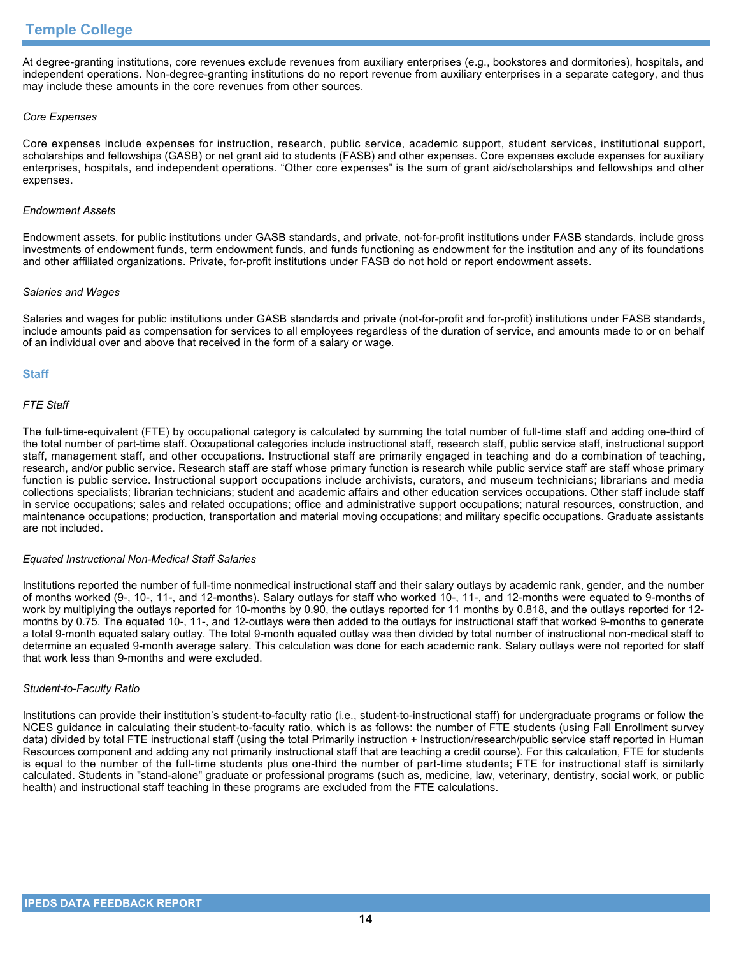At degree-granting institutions, core revenues exclude revenues from auxiliary enterprises (e.g., bookstores and dormitories), hospitals, and independent operations. Non-degree-granting institutions do no report revenue from auxiliary enterprises in a separate category, and thus may include these amounts in the core revenues from other sources.

## *Core Expenses*

Core expenses include expenses for instruction, research, public service, academic support, student services, institutional support, scholarships and fellowships (GASB) or net grant aid to students (FASB) and other expenses. Core expenses exclude expenses for auxiliary enterprises, hospitals, and independent operations. "Other core expenses" is the sum of grant aid/scholarships and fellowships and other expenses.

## *Endowment Assets*

Endowment assets, for public institutions under GASB standards, and private, not-for-profit institutions under FASB standards, include gross investments of endowment funds, term endowment funds, and funds functioning as endowment for the institution and any of its foundations and other affiliated organizations. Private, for-profit institutions under FASB do not hold or report endowment assets.

## *Salaries and Wages*

Salaries and wages for public institutions under GASB standards and private (not-for-profit and for-profit) institutions under FASB standards, include amounts paid as compensation for services to all employees regardless of the duration of service, and amounts made to or on behalf of an individual over and above that received in the form of a salary or wage.

## **Staff**

## *FTE Staff*

The full-time-equivalent (FTE) by occupational category is calculated by summing the total number of full-time staff and adding one-third of the total number of part-time staff. Occupational categories include instructional staff, research staff, public service staff, instructional support staff, management staff, and other occupations. Instructional staff are primarily engaged in teaching and do a combination of teaching, research, and/or public service. Research staff are staff whose primary function is research while public service staff are staff whose primary function is public service. Instructional support occupations include archivists, curators, and museum technicians; librarians and media collections specialists; librarian technicians; student and academic affairs and other education services occupations. Other staff include staff in service occupations; sales and related occupations; office and administrative support occupations; natural resources, construction, and maintenance occupations; production, transportation and material moving occupations; and military specific occupations. Graduate assistants are not included.

## *Equated Instructional Non-Medical Staff Salaries*

Institutions reported the number of full-time nonmedical instructional staff and their salary outlays by academic rank, gender, and the number of months worked (9-, 10-, 11-, and 12-months). Salary outlays for staff who worked 10-, 11-, and 12-months were equated to 9-months of work by multiplying the outlays reported for 10-months by 0.90, the outlays reported for 11 months by 0.818, and the outlays reported for 12 months by 0.75. The equated 10-, 11-, and 12-outlays were then added to the outlays for instructional staff that worked 9-months to generate a total 9-month equated salary outlay. The total 9-month equated outlay was then divided by total number of instructional non-medical staff to determine an equated 9-month average salary. This calculation was done for each academic rank. Salary outlays were not reported for staff that work less than 9-months and were excluded.

## *Student-to-Faculty Ratio*

Institutions can provide their institution's student-to-faculty ratio (i.e., student-to-instructional staff) for undergraduate programs or follow the NCES guidance in calculating their student-to-faculty ratio, which is as follows: the number of FTE students (using Fall Enrollment survey data) divided by total FTE instructional staff (using the total Primarily instruction + Instruction/research/public service staff reported in Human Resources component and adding any not primarily instructional staff that are teaching a credit course). For this calculation, FTE for students is equal to the number of the full-time students plus one-third the number of part-time students; FTE for instructional staff is similarly calculated. Students in "stand-alone" graduate or professional programs (such as, medicine, law, veterinary, dentistry, social work, or public health) and instructional staff teaching in these programs are excluded from the FTE calculations.